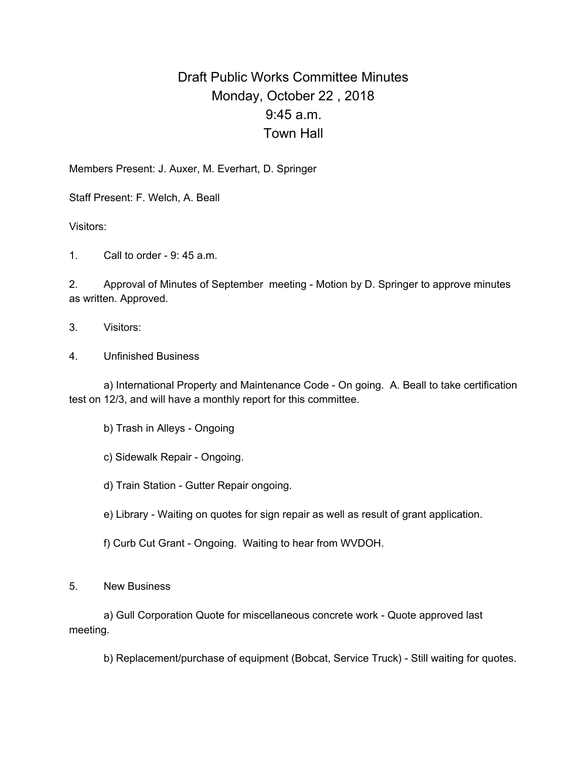## Draft Public Works Committee Minutes Monday, October 22 , 2018 9:45 a.m. Town Hall

Members Present: J. Auxer, M. Everhart, D. Springer

Staff Present: F. Welch, A. Beall

Visitors:

1. Call to order - 9: 45 a.m.

2. Approval of Minutes of September meeting - Motion by D. Springer to approve minutes as written. Approved.

- 3. Visitors:
- 4. Unfinished Business

a) International Property and Maintenance Code - On going. A. Beall to take certification test on 12/3, and will have a monthly report for this committee.

- b) Trash in Alleys Ongoing
- c) Sidewalk Repair Ongoing.
- d) Train Station Gutter Repair ongoing.
- e) Library Waiting on quotes for sign repair as well as result of grant application.
- f) Curb Cut Grant Ongoing. Waiting to hear from WVDOH.

5. New Business

a) Gull Corporation Quote for miscellaneous concrete work - Quote approved last meeting.

b) Replacement/purchase of equipment (Bobcat, Service Truck) - Still waiting for quotes.